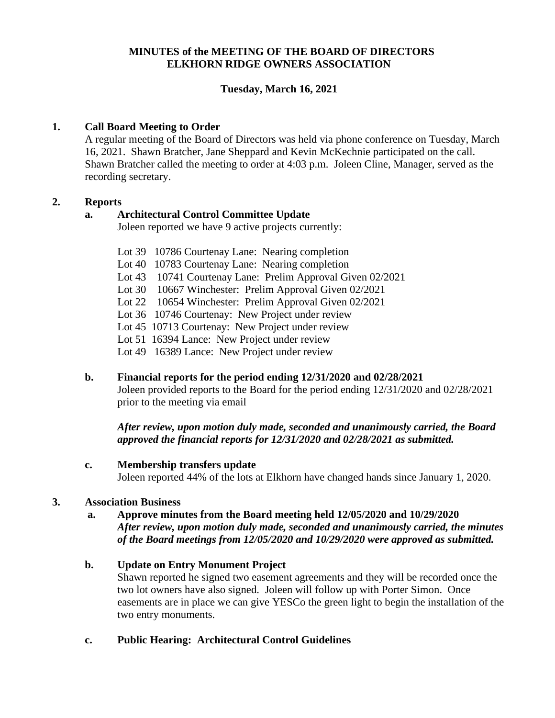## **MINUTES of the MEETING OF THE BOARD OF DIRECTORS ELKHORN RIDGE OWNERS ASSOCIATION**

# **Tuesday, March 16, 2021**

## **1. Call Board Meeting to Order**

A regular meeting of the Board of Directors was held via phone conference on Tuesday, March 16, 2021. Shawn Bratcher, Jane Sheppard and Kevin McKechnie participated on the call. Shawn Bratcher called the meeting to order at 4:03 p.m. Joleen Cline, Manager, served as the recording secretary.

#### **2. Reports**

## **a. Architectural Control Committee Update**

Joleen reported we have 9 active projects currently:

- Lot 39 10786 Courtenay Lane: Nearing completion
- Lot 40 10783 Courtenay Lane: Nearing completion
- Lot 43 10741 Courtenay Lane: Prelim Approval Given 02/2021
- Lot 30 10667 Winchester: Prelim Approval Given 02/2021
- Lot 22 10654 Winchester: Prelim Approval Given 02/2021
- Lot 36 10746 Courtenay: New Project under review
- Lot 45 10713 Courtenay: New Project under review
- Lot 51 16394 Lance: New Project under review
- Lot 49 16389 Lance: New Project under review

#### **b. Financial reports for the period ending 12/31/2020 and 02/28/2021**

Joleen provided reports to the Board for the period ending 12/31/2020 and 02/28/2021 prior to the meeting via email

*After review, upon motion duly made, seconded and unanimously carried, the Board approved the financial reports for 12/31/2020 and 02/28/2021 as submitted.*

#### **c. Membership transfers update**

Joleen reported 44% of the lots at Elkhorn have changed hands since January 1, 2020.

#### **3. Association Business**

#### **a. Approve minutes from the Board meeting held 12/05/2020 and 10/29/2020**

*After review, upon motion duly made, seconded and unanimously carried, the minutes of the Board meetings from 12/05/2020 and 10/29/2020 were approved as submitted.*

#### **b. Update on Entry Monument Project**

Shawn reported he signed two easement agreements and they will be recorded once the two lot owners have also signed. Joleen will follow up with Porter Simon. Once easements are in place we can give YESCo the green light to begin the installation of the two entry monuments.

## **c. Public Hearing: Architectural Control Guidelines**